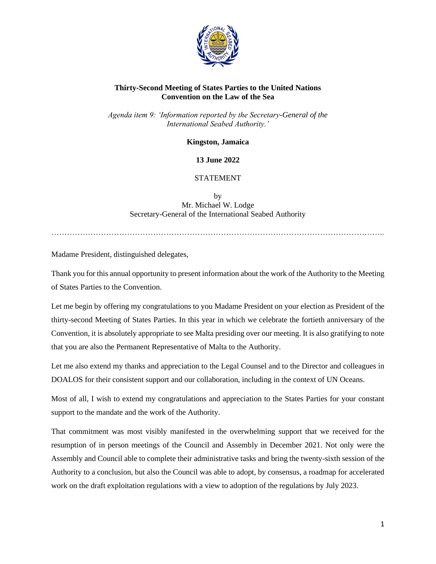

# **Thirty-Second Meeting of States Parties to the United Nations Convention on the Law of the Sea**

*Agenda item 9: 'Information reported by the Secretary-General of the International Seabed Authority.'*

**Kingston, Jamaica**

## **13 June 2022**

# STATEMENT

by Mr. Michael W. Lodge Secretary-General of the International Seabed Authority

………………………………………………………………………………………………………………..

Madame President, distinguished delegates,

Thank you for this annual opportunity to present information about the work of the Authority to the Meeting of States Parties to the Convention.

Let me begin by offering my congratulations to you Madame President on your election as President of the thirty-second Meeting of States Parties. In this year in which we celebrate the fortieth anniversary of the Convention, it is absolutely appropriate to see Malta presiding over our meeting. It is also gratifying to note that you are also the Permanent Representative of Malta to the Authority.

Let me also extend my thanks and appreciation to the Legal Counsel and to the Director and colleagues in DOALOS for their consistent support and our collaboration, including in the context of UN Oceans.

Most of all, I wish to extend my congratulations and appreciation to the States Parties for your constant support to the mandate and the work of the Authority.

That commitment was most visibly manifested in the overwhelming support that we received for the resumption of in person meetings of the Council and Assembly in December 2021. Not only were the Assembly and Council able to complete their administrative tasks and bring the twenty-sixth session of the Authority to a conclusion, but also the Council was able to adopt, by consensus, a roadmap for accelerated work on the draft exploitation regulations with a view to adoption of the regulations by July 2023.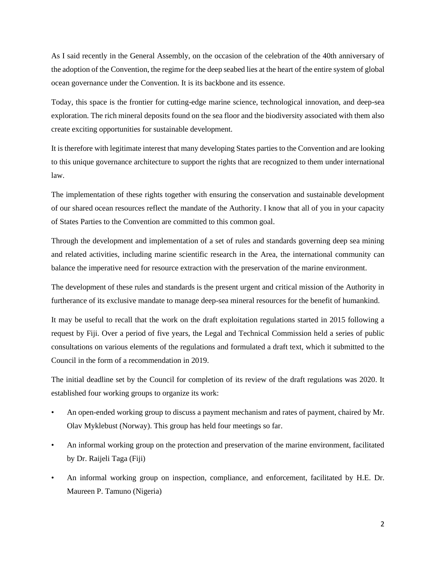As I said recently in the General Assembly, on the occasion of the celebration of the 40th anniversary of the adoption of the Convention, the regime for the deep seabed lies at the heart of the entire system of global ocean governance under the Convention. It is its backbone and its essence.

Today, this space is the frontier for cutting-edge marine science, technological innovation, and deep-sea exploration. The rich mineral deposits found on the sea floor and the biodiversity associated with them also create exciting opportunities for sustainable development.

It is therefore with legitimate interest that many developing States parties to the Convention and are looking to this unique governance architecture to support the rights that are recognized to them under international law.

The implementation of these rights together with ensuring the conservation and sustainable development of our shared ocean resources reflect the mandate of the Authority. I know that all of you in your capacity of States Parties to the Convention are committed to this common goal.

Through the development and implementation of a set of rules and standards governing deep sea mining and related activities, including marine scientific research in the Area, the international community can balance the imperative need for resource extraction with the preservation of the marine environment.

The development of these rules and standards is the present urgent and critical mission of the Authority in furtherance of its exclusive mandate to manage deep-sea mineral resources for the benefit of humankind.

It may be useful to recall that the work on the draft exploitation regulations started in 2015 following a request by Fiji. Over a period of five years, the Legal and Technical Commission held a series of public consultations on various elements of the regulations and formulated a draft text, which it submitted to the Council in the form of a recommendation in 2019.

The initial deadline set by the Council for completion of its review of the draft regulations was 2020. It established four working groups to organize its work:

- An open-ended working group to discuss a payment mechanism and rates of payment, chaired by Mr. Olav Myklebust (Norway). This group has held four meetings so far.
- An informal working group on the protection and preservation of the marine environment, facilitated by Dr. Raijeli Taga (Fiji)
- An informal working group on inspection, compliance, and enforcement, facilitated by H.E. Dr. Maureen P. Tamuno (Nigeria)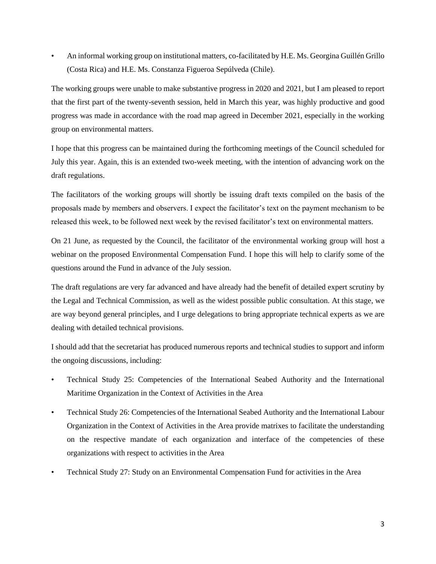• An informal working group on institutional matters, co-facilitated by H.E. Ms. Georgina Guillén Grillo (Costa Rica) and H.E. Ms. Constanza Figueroa Sepúlveda (Chile).

The working groups were unable to make substantive progress in 2020 and 2021, but I am pleased to report that the first part of the twenty-seventh session, held in March this year, was highly productive and good progress was made in accordance with the road map agreed in December 2021, especially in the working group on environmental matters.

I hope that this progress can be maintained during the forthcoming meetings of the Council scheduled for July this year. Again, this is an extended two-week meeting, with the intention of advancing work on the draft regulations.

The facilitators of the working groups will shortly be issuing draft texts compiled on the basis of the proposals made by members and observers. I expect the facilitator's text on the payment mechanism to be released this week, to be followed next week by the revised facilitator's text on environmental matters.

On 21 June, as requested by the Council, the facilitator of the environmental working group will host a webinar on the proposed Environmental Compensation Fund. I hope this will help to clarify some of the questions around the Fund in advance of the July session.

The draft regulations are very far advanced and have already had the benefit of detailed expert scrutiny by the Legal and Technical Commission, as well as the widest possible public consultation. At this stage, we are way beyond general principles, and I urge delegations to bring appropriate technical experts as we are dealing with detailed technical provisions.

I should add that the secretariat has produced numerous reports and technical studies to support and inform the ongoing discussions, including:

- Technical Study 25: Competencies of the International Seabed Authority and the International Maritime Organization in the Context of Activities in the Area
- Technical Study 26: Competencies of the International Seabed Authority and the International Labour Organization in the Context of Activities in the Area provide matrixes to facilitate the understanding on the respective mandate of each organization and interface of the competencies of these organizations with respect to activities in the Area
- Technical Study 27: Study on an Environmental Compensation Fund for activities in the Area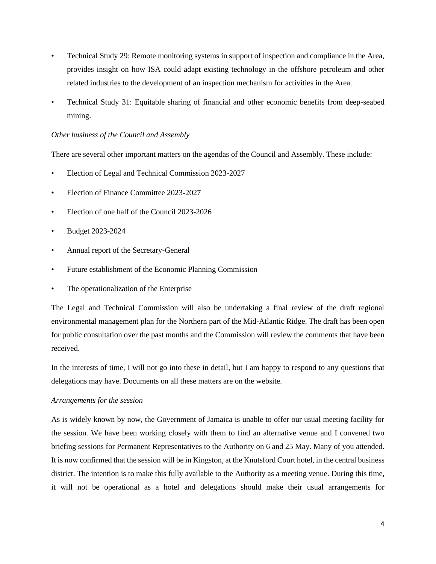- Technical Study 29: Remote monitoring systems in support of inspection and compliance in the Area, provides insight on how ISA could adapt existing technology in the offshore petroleum and other related industries to the development of an inspection mechanism for activities in the Area.
- Technical Study 31: Equitable sharing of financial and other economic benefits from deep-seabed mining.

# *Other business of the Council and Assembly*

There are several other important matters on the agendas of the Council and Assembly. These include:

- Election of Legal and Technical Commission 2023-2027
- Election of Finance Committee 2023-2027
- Election of one half of the Council 2023-2026
- Budget 2023-2024
- Annual report of the Secretary-General
- Future establishment of the Economic Planning Commission
- The operationalization of the Enterprise

The Legal and Technical Commission will also be undertaking a final review of the draft regional environmental management plan for the Northern part of the Mid-Atlantic Ridge. The draft has been open for public consultation over the past months and the Commission will review the comments that have been received.

In the interests of time, I will not go into these in detail, but I am happy to respond to any questions that delegations may have. Documents on all these matters are on the website.

# *Arrangements for the session*

As is widely known by now, the Government of Jamaica is unable to offer our usual meeting facility for the session. We have been working closely with them to find an alternative venue and I convened two briefing sessions for Permanent Representatives to the Authority on 6 and 25 May. Many of you attended. It is now confirmed that the session will be in Kingston, at the Knutsford Court hotel, in the central business district. The intention is to make this fully available to the Authority as a meeting venue. During this time, it will not be operational as a hotel and delegations should make their usual arrangements for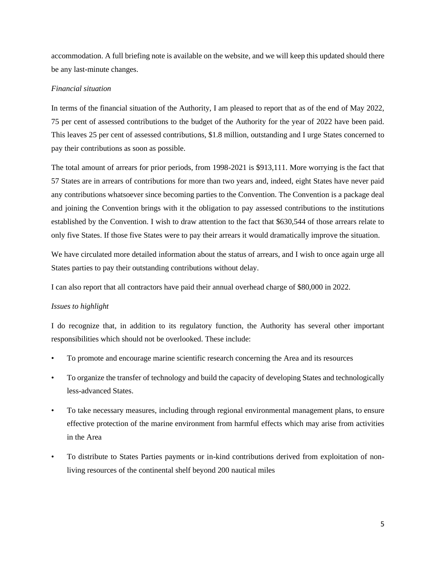accommodation. A full briefing note is available on the website, and we will keep this updated should there be any last-minute changes.

### *Financial situation*

In terms of the financial situation of the Authority, I am pleased to report that as of the end of May 2022, 75 per cent of assessed contributions to the budget of the Authority for the year of 2022 have been paid. This leaves 25 per cent of assessed contributions, \$1.8 million, outstanding and I urge States concerned to pay their contributions as soon as possible.

The total amount of arrears for prior periods, from 1998-2021 is \$913,111. More worrying is the fact that 57 States are in arrears of contributions for more than two years and, indeed, eight States have never paid any contributions whatsoever since becoming parties to the Convention. The Convention is a package deal and joining the Convention brings with it the obligation to pay assessed contributions to the institutions established by the Convention. I wish to draw attention to the fact that \$630,544 of those arrears relate to only five States. If those five States were to pay their arrears it would dramatically improve the situation.

We have circulated more detailed information about the status of arrears, and I wish to once again urge all States parties to pay their outstanding contributions without delay.

I can also report that all contractors have paid their annual overhead charge of \$80,000 in 2022.

### *Issues to highlight*

I do recognize that, in addition to its regulatory function, the Authority has several other important responsibilities which should not be overlooked. These include:

- To promote and encourage marine scientific research concerning the Area and its resources
- To organize the transfer of technology and build the capacity of developing States and technologically less-advanced States.
- To take necessary measures, including through regional environmental management plans, to ensure effective protection of the marine environment from harmful effects which may arise from activities in the Area
- To distribute to States Parties payments or in-kind contributions derived from exploitation of nonliving resources of the continental shelf beyond 200 nautical miles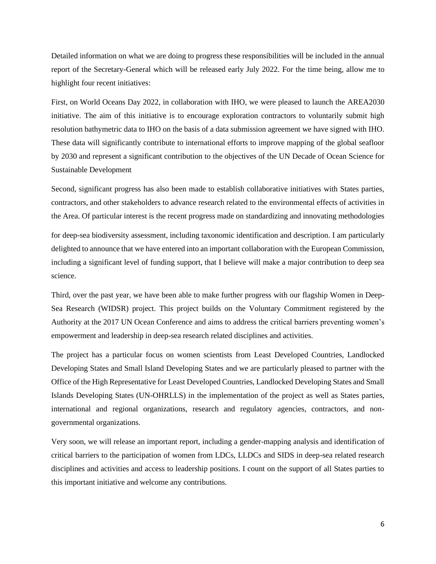Detailed information on what we are doing to progress these responsibilities will be included in the annual report of the Secretary-General which will be released early July 2022. For the time being, allow me to highlight four recent initiatives:

First, on World Oceans Day 2022, in collaboration with IHO, we were pleased to launch the AREA2030 initiative. The aim of this initiative is to encourage exploration contractors to voluntarily submit high resolution bathymetric data to IHO on the basis of a data submission agreement we have signed with IHO. These data will significantly contribute to international efforts to improve mapping of the global seafloor by 2030 and represent a significant contribution to the objectives of the UN Decade of Ocean Science for Sustainable Development

Second, significant progress has also been made to establish collaborative initiatives with States parties, contractors, and other stakeholders to advance research related to the environmental effects of activities in the Area. Of particular interest is the recent progress made on standardizing and innovating methodologies

for deep-sea biodiversity assessment, including taxonomic identification and description. I am particularly delighted to announce that we have entered into an important collaboration with the European Commission, including a significant level of funding support, that I believe will make a major contribution to deep sea science.

Third, over the past year, we have been able to make further progress with our flagship Women in Deep-Sea Research (WIDSR) project. This project builds on the Voluntary Commitment registered by the Authority at the 2017 UN Ocean Conference and aims to address the critical barriers preventing women's empowerment and leadership in deep-sea research related disciplines and activities.

The project has a particular focus on women scientists from Least Developed Countries, Landlocked Developing States and Small Island Developing States and we are particularly pleased to partner with the Office of the High Representative for Least Developed Countries, Landlocked Developing States and Small Islands Developing States (UN-OHRLLS) in the implementation of the project as well as States parties, international and regional organizations, research and regulatory agencies, contractors, and nongovernmental organizations.

Very soon, we will release an important report, including a gender-mapping analysis and identification of critical barriers to the participation of women from LDCs, LLDCs and SIDS in deep-sea related research disciplines and activities and access to leadership positions. I count on the support of all States parties to this important initiative and welcome any contributions.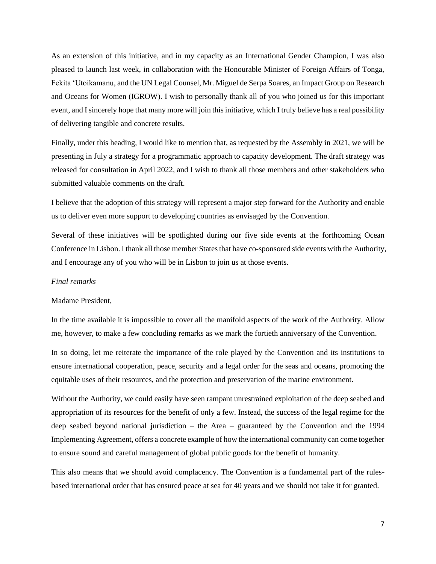As an extension of this initiative, and in my capacity as an International Gender Champion, I was also pleased to launch last week, in collaboration with the Honourable Minister of Foreign Affairs of Tonga, Fekita 'Utoikamanu, and the UN Legal Counsel, Mr. Miguel de Serpa Soares, an Impact Group on Research and Oceans for Women (IGROW). I wish to personally thank all of you who joined us for this important event, and I sincerely hope that many more will join this initiative, which I truly believe has a real possibility of delivering tangible and concrete results.

Finally, under this heading, I would like to mention that, as requested by the Assembly in 2021, we will be presenting in July a strategy for a programmatic approach to capacity development. The draft strategy was released for consultation in April 2022, and I wish to thank all those members and other stakeholders who submitted valuable comments on the draft.

I believe that the adoption of this strategy will represent a major step forward for the Authority and enable us to deliver even more support to developing countries as envisaged by the Convention.

Several of these initiatives will be spotlighted during our five side events at the forthcoming Ocean Conference in Lisbon. I thank all those member States that have co-sponsored side events with the Authority, and I encourage any of you who will be in Lisbon to join us at those events.

#### *Final remarks*

#### Madame President,

In the time available it is impossible to cover all the manifold aspects of the work of the Authority. Allow me, however, to make a few concluding remarks as we mark the fortieth anniversary of the Convention.

In so doing, let me reiterate the importance of the role played by the Convention and its institutions to ensure international cooperation, peace, security and a legal order for the seas and oceans, promoting the equitable uses of their resources, and the protection and preservation of the marine environment.

Without the Authority, we could easily have seen rampant unrestrained exploitation of the deep seabed and appropriation of its resources for the benefit of only a few. Instead, the success of the legal regime for the deep seabed beyond national jurisdiction – the Area – guaranteed by the Convention and the 1994 Implementing Agreement, offers a concrete example of how the international community can come together to ensure sound and careful management of global public goods for the benefit of humanity.

This also means that we should avoid complacency. The Convention is a fundamental part of the rulesbased international order that has ensured peace at sea for 40 years and we should not take it for granted.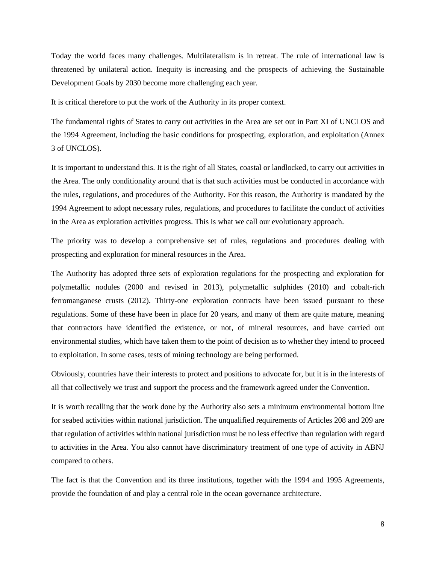Today the world faces many challenges. Multilateralism is in retreat. The rule of international law is threatened by unilateral action. Inequity is increasing and the prospects of achieving the Sustainable Development Goals by 2030 become more challenging each year.

It is critical therefore to put the work of the Authority in its proper context.

The fundamental rights of States to carry out activities in the Area are set out in Part XI of UNCLOS and the 1994 Agreement, including the basic conditions for prospecting, exploration, and exploitation (Annex 3 of UNCLOS).

It is important to understand this. It is the right of all States, coastal or landlocked, to carry out activities in the Area. The only conditionality around that is that such activities must be conducted in accordance with the rules, regulations, and procedures of the Authority. For this reason, the Authority is mandated by the 1994 Agreement to adopt necessary rules, regulations, and procedures to facilitate the conduct of activities in the Area as exploration activities progress. This is what we call our evolutionary approach.

The priority was to develop a comprehensive set of rules, regulations and procedures dealing with prospecting and exploration for mineral resources in the Area.

The Authority has adopted three sets of exploration regulations for the prospecting and exploration for polymetallic nodules (2000 and revised in 2013), polymetallic sulphides (2010) and cobalt-rich ferromanganese crusts (2012). Thirty-one exploration contracts have been issued pursuant to these regulations. Some of these have been in place for 20 years, and many of them are quite mature, meaning that contractors have identified the existence, or not, of mineral resources, and have carried out environmental studies, which have taken them to the point of decision as to whether they intend to proceed to exploitation. In some cases, tests of mining technology are being performed.

Obviously, countries have their interests to protect and positions to advocate for, but it is in the interests of all that collectively we trust and support the process and the framework agreed under the Convention.

It is worth recalling that the work done by the Authority also sets a minimum environmental bottom line for seabed activities within national jurisdiction. The unqualified requirements of Articles 208 and 209 are that regulation of activities within national jurisdiction must be no less effective than regulation with regard to activities in the Area. You also cannot have discriminatory treatment of one type of activity in ABNJ compared to others.

The fact is that the Convention and its three institutions, together with the 1994 and 1995 Agreements, provide the foundation of and play a central role in the ocean governance architecture.